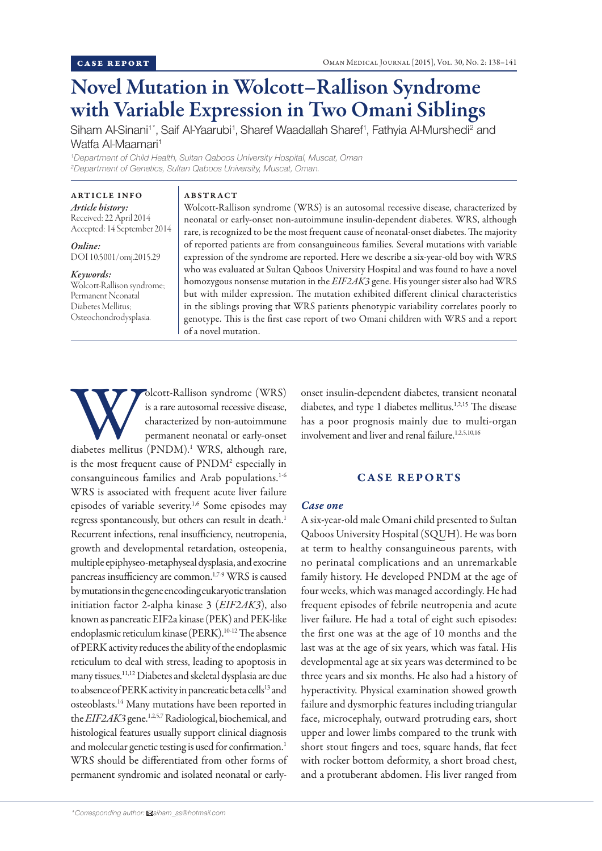# Novel Mutation in Wolcott–Rallison Syndrome with Variable Expression in Two Omani Siblings

Siham Al-Sinani<sup>1\*</sup>, Saif Al-Yaarubi<sup>1</sup>, Sharef Waadallah Sharef<sup>1</sup>, Fathyia Al-Murshedi<sup>2</sup> and Watfa Al-Maamari<sup>1</sup>

*1 Department of Child Health, Sultan Qaboos University Hospital, Muscat, Oman 2 Department of Genetics, Sultan Qaboos University, Muscat, Oman.*

ABSTRACT

# ARTICLE INFO

*Article history:*  Received: 22 April 2014 Accepted: 14 September 2014

*Online:* DOI 10.5001/omj.2015.29

### *Keywords:*

Wolcott-Rallison syndrome; Permanent Neonatal Diabetes Mellitus; Osteochondrodysplasia.

Wolcott-Rallison syndrome (WRS) is an autosomal recessive disease, characterized by neonatal or early-onset non-autoimmune insulin-dependent diabetes. WRS, although rare, is recognized to be the most frequent cause of neonatal-onset diabetes. The majority of reported patients are from consanguineous families. Several mutations with variable expression of the syndrome are reported. Here we describe a six-year-old boy with WRS who was evaluated at Sultan Qaboos University Hospital and was found to have a novel homozygous nonsense mutation in the *EIF2AK3* gene. His younger sister also had WRS but with milder expression. The mutation exhibited different clinical characteristics in the siblings proving that WRS patients phenotypic variability correlates poorly to genotype. This is the first case report of two Omani children with WRS and a report of a novel mutation.

Multison syndrome (WRS) is a rare autosomal recessive disease, characterized by non-autoimmune permanent neonatal or early-onset diabetes mellitus (PNDM).<sup>1</sup> WRS, although rare, is a rare autosomal recessive disease, characterized by non-autoimmune permanent neonatal or early-onset is the most frequent cause of PNDM<sup>2</sup> especially in consanguineous families and Arab populations.<sup>1-6</sup> WRS is associated with frequent acute liver failure episodes of variable severity.1,6 Some episodes may regress spontaneously, but others can result in death.<sup>1</sup> Recurrent infections, renal insufficiency, neutropenia, growth and developmental retardation, osteopenia, multiple epiphyseo-metaphyseal dysplasia, and exocrine pancreas insufficiency are common.<sup>1,7-9</sup> WRS is caused by mutations in the gene encoding eukaryotic translation initiation factor 2-alpha kinase 3 (*EIF2AK3*), also known as pancreatic EIF2a kinase (PEK) and PEK-like endoplasmic reticulum kinase (PERK).<sup>10-12</sup> The absence of PERK activity reduces the ability of the endoplasmic reticulum to deal with stress, leading to apoptosis in many tissues.11,12 Diabetes and skeletal dysplasia are due to absence of PERK activity in pancreatic beta cells<sup>13</sup> and osteoblasts.14 Many mutations have been reported in the *EIF2AK3* gene.<sup>1,2,5,7</sup> Radiological, biochemical, and histological features usually support clinical diagnosis and molecular genetic testing is used for confirmation.<sup>1</sup> WRS should be differentiated from other forms of permanent syndromic and isolated neonatal or early-

onset insulin-dependent diabetes, transient neonatal diabetes, and type 1 diabetes mellitus.<sup>1,2,15</sup> The disease has a poor prognosis mainly due to multi-organ involvement and liver and renal failure.<sup>1,2,5,10,16</sup>

### CASE REPORTS

# *Case one*

A six-year-old male Omani child presented to Sultan Qaboos University Hospital (SQUH). He was born at term to healthy consanguineous parents, with no perinatal complications and an unremarkable family history. He developed PNDM at the age of four weeks, which was managed accordingly. He had frequent episodes of febrile neutropenia and acute liver failure. He had a total of eight such episodes: the first one was at the age of 10 months and the last was at the age of six years, which was fatal. His developmental age at six years was determined to be three years and six months. He also had a history of hyperactivity. Physical examination showed growth failure and dysmorphic features including triangular face, microcephaly, outward protruding ears, short upper and lower limbs compared to the trunk with short stout fingers and toes, square hands, flat feet with rocker bottom deformity, a short broad chest, and a protuberant abdomen. His liver ranged from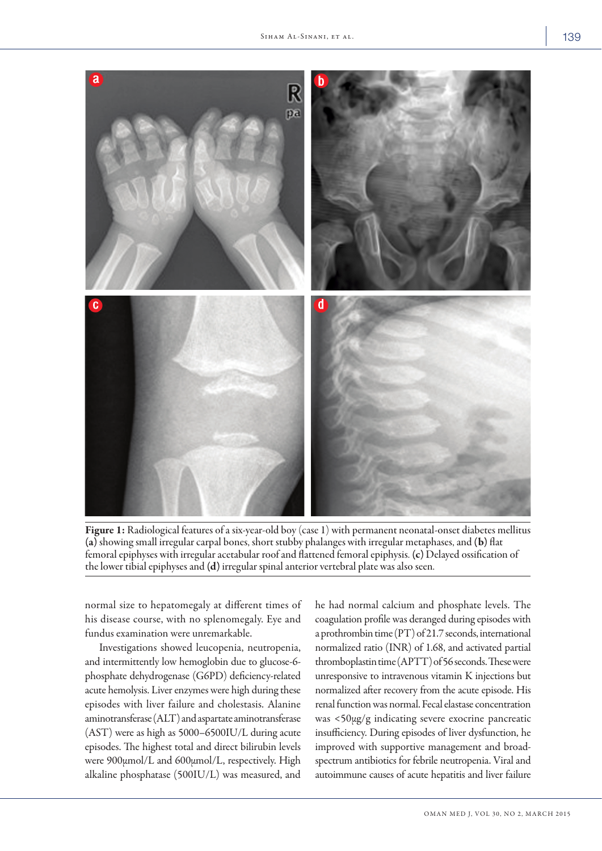

Figure 1: Radiological features of a six-year-old boy (case 1) with permanent neonatal-onset diabetes mellitus (a) showing small irregular carpal bones, short stubby phalanges with irregular metaphases, and (b) flat femoral epiphyses with irregular acetabular roof and flattened femoral epiphysis. (c) Delayed ossification of the lower tibial epiphyses and (d) irregular spinal anterior vertebral plate was also seen.

normal size to hepatomegaly at different times of his disease course, with no splenomegaly. Eye and fundus examination were unremarkable.

Investigations showed leucopenia, neutropenia, and intermittently low hemoglobin due to glucose-6 phosphate dehydrogenase (G6PD) deficiency-related acute hemolysis. Liver enzymes were high during these episodes with liver failure and cholestasis. Alanine aminotransferase (ALT) and aspartate aminotransferase (AST) were as high as 5000–6500IU/L during acute episodes. The highest total and direct bilirubin levels were 900µmol/L and 600µmol/L, respectively. High alkaline phosphatase (500IU/L) was measured, and he had normal calcium and phosphate levels. The coagulation profile was deranged during episodes with a prothrombin time (PT) of 21.7 seconds, international normalized ratio (INR) of 1.68, and activated partial thromboplastin time (APTT) of 56 seconds. These were unresponsive to intravenous vitamin K injections but normalized after recovery from the acute episode. His renal function was normal. Fecal elastase concentration was <50µg/g indicating severe exocrine pancreatic insufficiency. During episodes of liver dysfunction, he improved with supportive management and broadspectrum antibiotics for febrile neutropenia. Viral and autoimmune causes of acute hepatitis and liver failure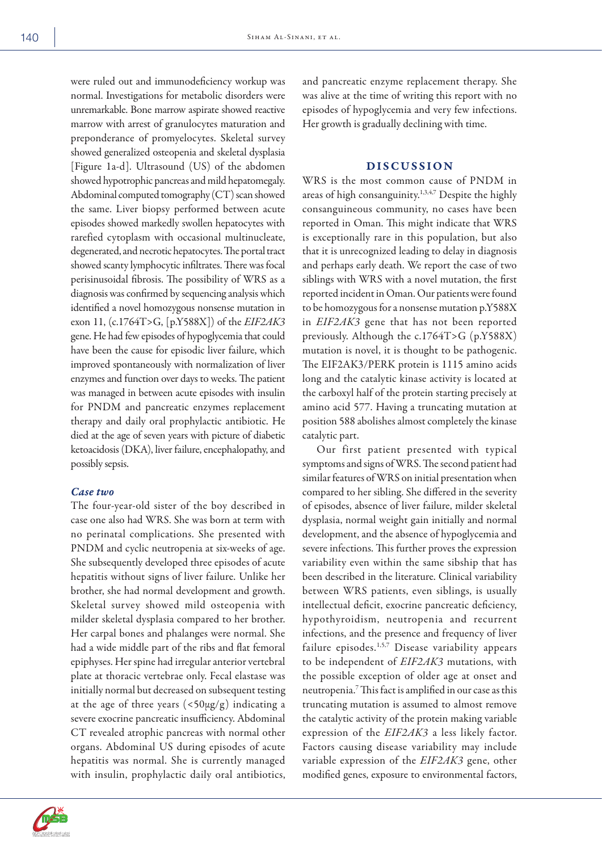were ruled out and immunodeficiency workup was normal. Investigations for metabolic disorders were unremarkable. Bone marrow aspirate showed reactive marrow with arrest of granulocytes maturation and preponderance of promyelocytes. Skeletal survey showed generalized osteopenia and skeletal dysplasia [Figure 1a-d]. Ultrasound (US) of the abdomen showed hypotrophic pancreas and mild hepatomegaly. Abdominal computed tomography (CT) scan showed the same. Liver biopsy performed between acute episodes showed markedly swollen hepatocytes with rarefied cytoplasm with occasional multinucleate, degenerated, and necrotic hepatocytes. The portal tract showed scanty lymphocytic infiltrates. There was focal perisinusoidal fibrosis. The possibility of WRS as a diagnosis was confirmed by sequencing analysis which identified a novel homozygous nonsense mutation in exon 11, (c.1764T>G, [p.Y588X]) of the *EIF2AK3* gene. He had few episodes of hypoglycemia that could have been the cause for episodic liver failure, which improved spontaneously with normalization of liver enzymes and function over days to weeks. The patient was managed in between acute episodes with insulin for PNDM and pancreatic enzymes replacement therapy and daily oral prophylactic antibiotic. He died at the age of seven years with picture of diabetic ketoacidosis (DKA), liver failure, encephalopathy, and possibly sepsis.

### *Case two*

The four-year-old sister of the boy described in case one also had WRS. She was born at term with no perinatal complications. She presented with PNDM and cyclic neutropenia at six-weeks of age. She subsequently developed three episodes of acute hepatitis without signs of liver failure. Unlike her brother, she had normal development and growth. Skeletal survey showed mild osteopenia with milder skeletal dysplasia compared to her brother. Her carpal bones and phalanges were normal. She had a wide middle part of the ribs and flat femoral epiphyses. Her spine had irregular anterior vertebral plate at thoracic vertebrae only. Fecal elastase was initially normal but decreased on subsequent testing at the age of three years  $\left( \langle 50 \mu g/g \rangle \right)$  indicating a severe exocrine pancreatic insufficiency. Abdominal CT revealed atrophic pancreas with normal other organs. Abdominal US during episodes of acute hepatitis was normal. She is currently managed with insulin, prophylactic daily oral antibiotics,

and pancreatic enzyme replacement therapy. She was alive at the time of writing this report with no episodes of hypoglycemia and very few infections. Her growth is gradually declining with time.

#### DISCUSSION

WRS is the most common cause of PNDM in areas of high consanguinity.<sup>1,3,4,7</sup> Despite the highly consanguineous community, no cases have been reported in Oman. This might indicate that WRS is exceptionally rare in this population, but also that it is unrecognized leading to delay in diagnosis and perhaps early death. We report the case of two siblings with WRS with a novel mutation, the first reported incident in Oman. Our patients were found to be homozygous for a nonsense mutation p.Y588X in *EIF2AK3* gene that has not been reported previously. Although the c.1764T>G (p.Y588X) mutation is novel, it is thought to be pathogenic. The EIF2AK3/PERK protein is 1115 amino acids long and the catalytic kinase activity is located at the carboxyl half of the protein starting precisely at amino acid 577. Having a truncating mutation at position 588 abolishes almost completely the kinase catalytic part.

Our first patient presented with typical symptoms and signs of WRS. The second patient had similar features of WRS on initial presentation when compared to her sibling. She differed in the severity of episodes, absence of liver failure, milder skeletal dysplasia, normal weight gain initially and normal development, and the absence of hypoglycemia and severe infections. This further proves the expression variability even within the same sibship that has been described in the literature. Clinical variability between WRS patients, even siblings, is usually intellectual deficit, exocrine pancreatic deficiency, hypothyroidism, neutropenia and recurrent infections, and the presence and frequency of liver failure episodes.<sup>1,5,7</sup> Disease variability appears to be independent of *EIF2AK3* mutations, with the possible exception of older age at onset and neutropenia.7 This fact is amplified in our case as this truncating mutation is assumed to almost remove the catalytic activity of the protein making variable expression of the *EIF2AK3* a less likely factor. Factors causing disease variability may include variable expression of the *EIF2AK3* gene, other modified genes, exposure to environmental factors,